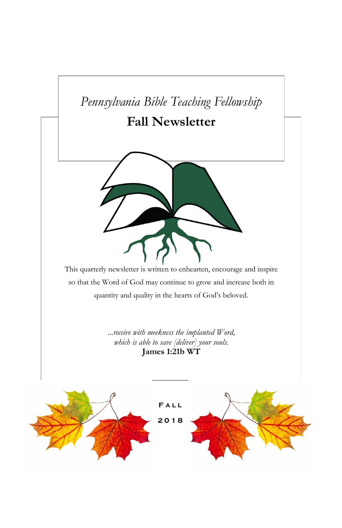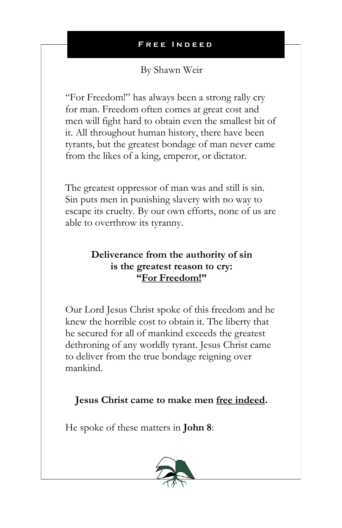By Shawn Weir

"For Freedom!" has always been a strong rally cry for man. Freedom often comes at great cost and men will fight hard to obtain even the smallest bit of it. All throughout human history, there have been tyrants, but the greatest bondage of man never came from the likes of a king, emperor, or dictator.

The greatest oppressor of man was and still is sin. Sin puts men in punishing slavery with no way to escape its cruelty. By our own efforts, none of us are able to overthrow its tyranny.

## **Deliverance from the authority of sin is the greatest reason to cry: "For Freedom!"**

Our Lord Jesus Christ spoke of this freedom and he knew the horrible cost to obtain it. The liberty that he secured for all of mankind exceeds the greatest dethroning of any worldly tyrant. Jesus Christ came to deliver from the true bondage reigning over mankind.

## **Jesus Christ came to make men free indeed.**

He spoke of these matters in **John 8**:

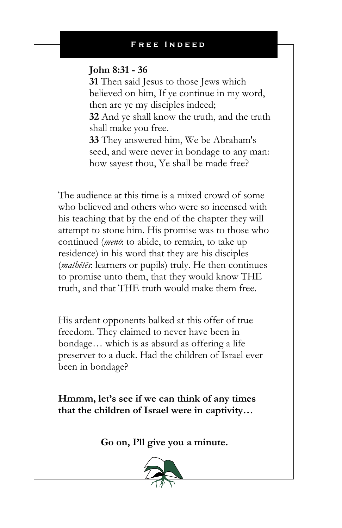### **John 8:31 - 36**

**31** Then said Jesus to those Jews which believed on him, If ye continue in my word, then are ye my disciples indeed;

**32** And ye shall know the truth, and the truth shall make you free.

**33** They answered him, We be Abraham's seed, and were never in bondage to any man: how sayest thou, Ye shall be made free?

The audience at this time is a mixed crowd of some who believed and others who were so incensed with his teaching that by the end of the chapter they will attempt to stone him. His promise was to those who continued (*menō*: to abide, to remain, to take up residence) in his word that they are his disciples (*mathētēs*: learners or pupils) truly. He then continues to promise unto them, that they would know THE truth, and that THE truth would make them free.

His ardent opponents balked at this offer of true freedom. They claimed to never have been in bondage… which is as absurd as offering a life preserver to a duck. Had the children of Israel ever been in bondage?

**Hmmm, let's see if we can think of any times that the children of Israel were in captivity…**

**Go on, I'll give you a minute.**

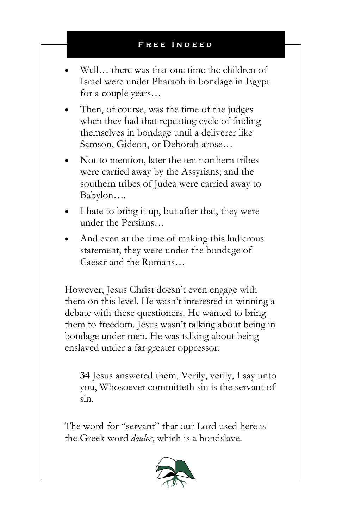- Well<sub>us</sub> there was that one time the children of Israel were under Pharaoh in bondage in Egypt for a couple years…
- Then, of course, was the time of the judges when they had that repeating cycle of finding themselves in bondage until a deliverer like Samson, Gideon, or Deborah arose…
- Not to mention, later the ten northern tribes were carried away by the Assyrians; and the southern tribes of Judea were carried away to Babylon….
- I hate to bring it up, but after that, they were under the Persians…
- And even at the time of making this ludicrous statement, they were under the bondage of Caesar and the Romans…

However, Jesus Christ doesn't even engage with them on this level. He wasn't interested in winning a debate with these questioners. He wanted to bring them to freedom. Jesus wasn't talking about being in bondage under men. He was talking about being enslaved under a far greater oppressor.

**34** Jesus answered them, Verily, verily, I say unto you, Whosoever committeth sin is the servant of sin.

The word for "servant" that our Lord used here is the Greek word *doulos*, which is a bondslave.

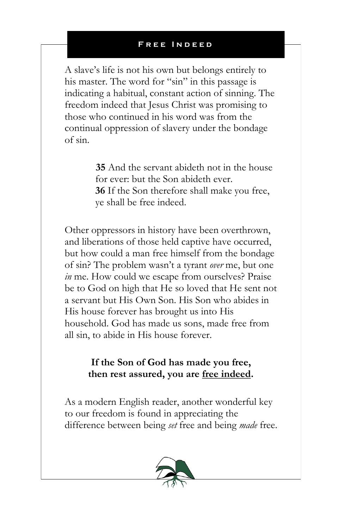A slave's life is not his own but belongs entirely to his master. The word for "sin" in this passage is indicating a habitual, constant action of sinning. The freedom indeed that Jesus Christ was promising to those who continued in his word was from the continual oppression of slavery under the bondage of sin.

> **35** And the servant abideth not in the house for ever: but the Son abideth ever. **36** If the Son therefore shall make you free, ye shall be free indeed.

Other oppressors in history have been overthrown, and liberations of those held captive have occurred, but how could a man free himself from the bondage of sin? The problem wasn't a tyrant *over* me, but one *in* me. How could we escape from ourselves? Praise be to God on high that He so loved that He sent not a servant but His Own Son. His Son who abides in His house forever has brought us into His household. God has made us sons, made free from all sin, to abide in His house forever.

### **If the Son of God has made you free, then rest assured, you are free indeed.**

As a modern English reader, another wonderful key to our freedom is found in appreciating the difference between being *set* free and being *made* free.

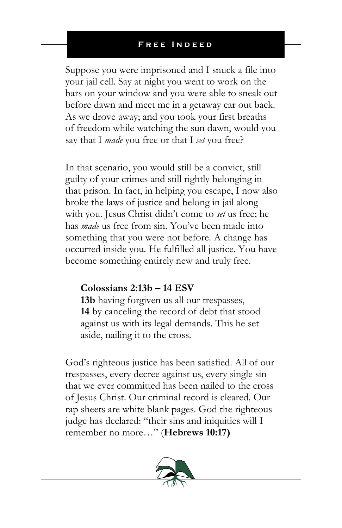Suppose you were imprisoned and I snuck a file into your jail cell. Say at night you went to work on the bars on your window and you were able to sneak out before dawn and meet me in a getaway car out back. As we drove away; and you took your first breaths of freedom while watching the sun dawn, would you say that I *made* you free or that I *set* you free?

In that scenario, you would still be a convict, still guilty of your crimes and still rightly belonging in that prison. In fact, in helping you escape, I now also broke the laws of justice and belong in jail along with you. Jesus Christ didn't come to *set* us free; he has *made* us free from sin. You've been made into something that you were not before. A change has occurred inside you. He fulfilled all justice. You have become something entirely new and truly free.

### **Colossians 2:13b – 14 ESV**

**13b** having forgiven us all our trespasses, **14** by canceling the record of debt that stood against us with its legal demands. This he set aside, nailing it to the cross.

God's righteous justice has been satisfied. All of our trespasses, every decree against us, every single sin that we ever committed has been nailed to the cross of Jesus Christ. Our criminal record is cleared. Our rap sheets are white blank pages. God the righteous judge has declared: "their sins and iniquities will I remember no more…" (**Hebrews 10:17)**

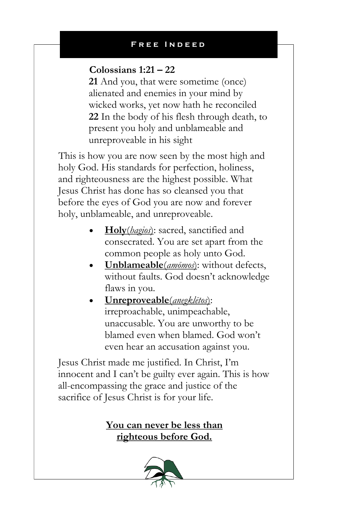### **Colossians 1:21 – 22**

**21** And you, that were sometime (once) alienated and enemies in your mind by wicked works, yet now hath he reconciled **22** In the body of his flesh through death, to present you holy and unblameable and unreproveable in his sight

This is how you are now seen by the most high and holy God. His standards for perfection, holiness, and righteousness are the highest possible. What Jesus Christ has done has so cleansed you that before the eyes of God you are now and forever holy, unblameable, and unreproveable.

- **Holy**(*hagios*): sacred, sanctified and consecrated. You are set apart from the common people as holy unto God.
- **Unblameable**(*amōmos*): without defects, without faults. God doesn't acknowledge flaws in you.
- **Unreproveable**(*anegklētos*): irreproachable, unimpeachable, unaccusable. You are unworthy to be blamed even when blamed. God won't even hear an accusation against you.

Jesus Christ made me justified. In Christ, I'm innocent and I can't be guilty ever again. This is how all-encompassing the grace and justice of the sacrifice of Jesus Christ is for your life.

## **You can never be less than righteous before God.**

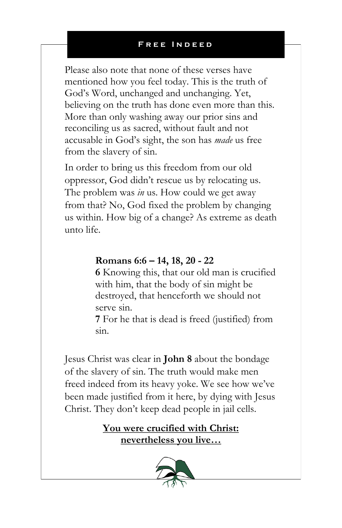Please also note that none of these verses have mentioned how you feel today. This is the truth of God's Word, unchanged and unchanging. Yet, believing on the truth has done even more than this. More than only washing away our prior sins and reconciling us as sacred, without fault and not accusable in God's sight, the son has *made* us free from the slavery of sin.

In order to bring us this freedom from our old oppressor, God didn't rescue us by relocating us. The problem was *in* us. How could we get away from that? No, God fixed the problem by changing us within. How big of a change? As extreme as death unto life.

### **Romans 6:6 – 14, 18, 20 - 22**

**6** Knowing this, that our old man is crucified with him, that the body of sin might be destroyed, that henceforth we should not serve sin.

**7** For he that is dead is freed (justified) from sin.

Jesus Christ was clear in **John 8** about the bondage of the slavery of sin. The truth would make men freed indeed from its heavy yoke. We see how we've been made justified from it here, by dying with Jesus Christ. They don't keep dead people in jail cells.

> **You were crucified with Christ: nevertheless you live…**

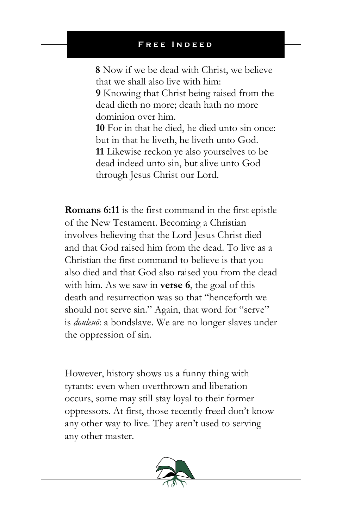**8** Now if we be dead with Christ, we believe that we shall also live with him:

**9** Knowing that Christ being raised from the dead dieth no more; death hath no more dominion over him.

**10** For in that he died, he died unto sin once: but in that he liveth, he liveth unto God. **11** Likewise reckon ye also yourselves to be dead indeed unto sin, but alive unto God through Jesus Christ our Lord.

**Romans 6:11** is the first command in the first epistle of the New Testament. Becoming a Christian involves believing that the Lord Jesus Christ died and that God raised him from the dead. To live as a Christian the first command to believe is that you also died and that God also raised you from the dead with him. As we saw in **verse 6**, the goal of this death and resurrection was so that "henceforth we should not serve sin." Again, that word for "serve" is *douleuō*: a bondslave. We are no longer slaves under the oppression of sin.

However, history shows us a funny thing with tyrants: even when overthrown and liberation occurs, some may still stay loyal to their former oppressors. At first, those recently freed don't know any other way to live. They aren't used to serving any other master.

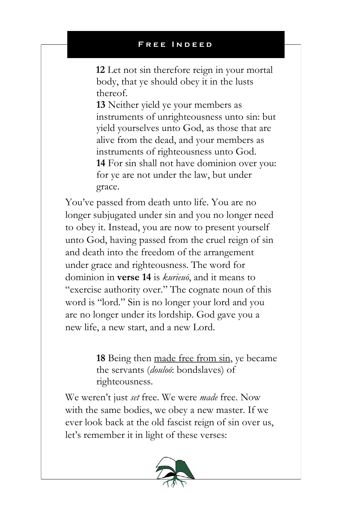**12** Let not sin therefore reign in your mortal body, that ye should obey it in the lusts thereof.

**13** Neither yield ye your members as instruments of unrighteousness unto sin: but yield yourselves unto God, as those that are alive from the dead, and your members as instruments of righteousness unto God. **14** For sin shall not have dominion over you: for ye are not under the law, but under grace.

You've passed from death unto life. You are no longer subjugated under sin and you no longer need to obey it. Instead, you are now to present yourself unto God, having passed from the cruel reign of sin and death into the freedom of the arrangement under grace and righteousness. The word for dominion in **verse 14** is *kurieuō*, and it means to "exercise authority over." The cognate noun of this word is "lord." Sin is no longer your lord and you are no longer under its lordship. God gave you a new life, a new start, and a new Lord.

> **18** Being then made free from sin, ye became the servants (*douloō*: bondslaves) of righteousness.

We weren't just *set* free. We were *made* free. Now with the same bodies, we obey a new master. If we ever look back at the old fascist reign of sin over us, let's remember it in light of these verses:

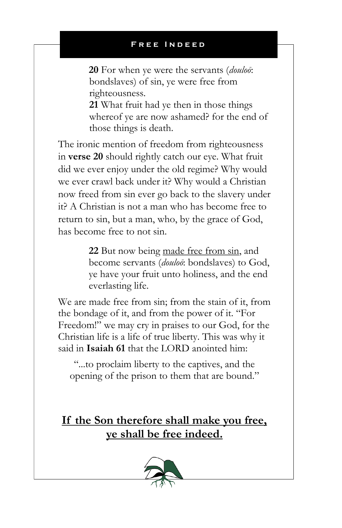**20** For when ye were the servants (*douloō*: bondslaves) of sin, ye were free from righteousness.

**21** What fruit had ye then in those things whereof ye are now ashamed? for the end of those things is death.

The ironic mention of freedom from righteousness in **verse 20** should rightly catch our eye. What fruit did we ever enjoy under the old regime? Why would we ever crawl back under it? Why would a Christian now freed from sin ever go back to the slavery under it? A Christian is not a man who has become free to return to sin, but a man, who, by the grace of God, has become free to not sin.

> **22** But now being made free from sin, and become servants (*douloō*: bondslaves) to God, ye have your fruit unto holiness, and the end everlasting life.

We are made free from sin; from the stain of it, from the bondage of it, and from the power of it. "For Freedom!" we may cry in praises to our God, for the Christian life is a life of true liberty. This was why it said in **Isaiah 61** that the LORD anointed him:

"...to proclaim liberty to the captives, and the opening of the prison to them that are bound."

**If the Son therefore shall make you free, ye shall be free indeed.**